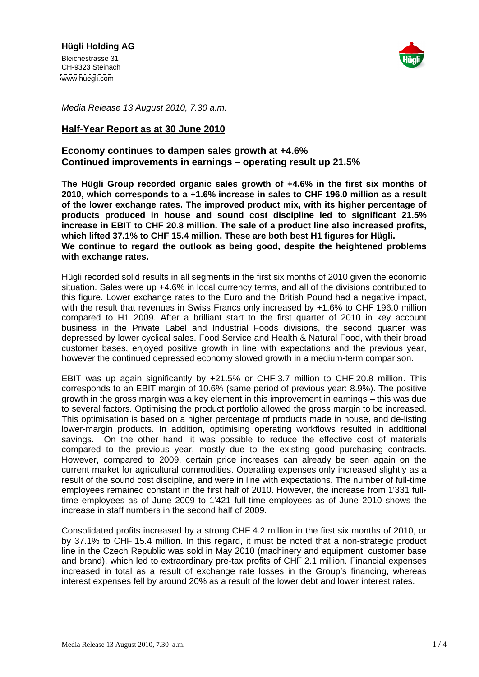

Media Release 13 August 2010, 7.30 a.m.

# **Half-Year Report as at 30 June 2010**

## **Economy continues to dampen sales growth at +4.6% Continued improvements in earnings – operating result up 21.5%**

**The Hügli Group recorded organic sales growth of +4.6% in the first six monthsof 2010, which corresponds to a +1.6% increase in sales to CHF 196.0 million as a result of the lower exchange rates. The improved product mix, with its higher percentage of products produced in house and sound cost discipline led to significant 21.5% increase in EBIT to CHF 20.8 million. The sale of a product line also increased profits, which lifted 37.1% to CHF 15.4 million. These are both best H1 figures for Hügli. We continue to regard the outlook as being good, despite the heightened problems with exchange rates.**

Hügli recorded solid results in all segments in the first six months of 2010 given the economic situation. Sales were up +4.6% in local currency terms, and all of the divisions contributed to this figure. Lower exchange rates to the Euro and the British Pound had a negative impact, with the result that revenues in Swiss Francs only increased by +1.6% to CHF 196.0 million compared to H1 2009. After a brilliant start to the first quarter of 2010 in key account business in the Private Label and Industrial Foods divisions, the second quarter was depressed by lower cyclical sales. Food Service and Health & Natural Food, with their broad customer bases, enjoyed positive growth in line with expectationsand the previous year, however the continued depressed economy slowed growth in a medium-term comparison.

EBIT was up again significantly by +21.5% or CHF 3.7 million to CHF 20.8 million. This corresponds to an EBIT margin of 10.6% (same period of previous year: 8.9%). The positive growth in the gross margin was a key element in this improvement in earnings – this was due to several factors. Optimising the product portfolio allowed the gross margin to be increased. This optimisation is based on a higher percentage of products made in house, and de-listing lower-margin products. In addition, optimising operating workflows resulted in additional savings. On the other hand, it was possible to reduce the effective cost of materials compared to the previous year, mostly due to the existing good purchasing contracts. However, compared to 2009, certain price increases can already be seen again on the current market for agricultural commodities. Operating expenses only increased slightly as a result of the sound cost discipline, and were in line with expectations. The number of full-time employees remained constant in the first half of 2010. However, the increase from 1'331 fulltime employees as of June 2009 to 1'421 full-time employees as of June 2010 shows the increase in staff numbers in the second half of 2009.

Consolidated profits increased by a strong CHF 4.2 million in the first six months of 2010, or by 37.1% to CHF 15.4 million. In this regard, it must be noted that a non-strategic product line in the Czech Republic was sold in May 2010 (machinery and equipment, customer base and brand), which led to extraordinary pre-tax profits of CHF 2.1 million. Financial expenses increased in total as a result of exchange rate losses in the Group's financing, whereas interest expenses fell by around 20% as a result of the lower debt and lower interest rates.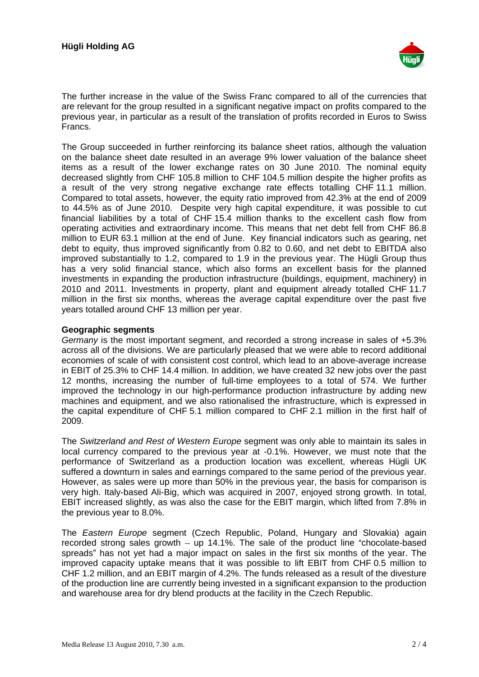

The further increase in the value of the Swiss Franc compared to all of the currencies that are relevant for the group resulted in a significant negative impact on profits compared to the previous year, in particular as a result of the translation of profits recorded in Euros to Swiss Francs. **Francs**.

The Group succeeded in further reinforcing its balance sheet ratios, although the valuation on the balance sheet date resulted in an average 9% lower valuation of the balance sheet items as a result of the lower exchange rates on 30 June 2010. The nominal equity decreased slightly from CHF 105.8 million to CHF 104.5 million despite the higher profits as a result of the very strong negative exchange rate effects totalling CHF 11.1 million. Compared to total assets, however, the equity ratio improved from 42.3% at the end of 2009 to 44.5% as of June 2010. Despite very high capital expenditure, it was possible to cut financial liabilities by a total of CHF 15.4 million thanks to the excellent cash flow from operating activities and extraordinary income. This means that net debt fell from CHF 86.8 million to EUR 63.1 million at the end of June. Key financial indicators such as gearing, net debt to equity, thus improved significantly from 0.82 to 0.60, and net debt to EBITDA also improved substantially to 1.2, compared to 1.9 in the previous year. The Hügli Group thus has a very solid financial stance, which also forms an excellent basis for the planned investments in expanding the production infrastructure (buildings, equipment, machinery) in 2010 and 2011. Investments in property, plant and equipment already totalled CHF 11.7 million in the first six months, whereas the average capital expenditure over the past five years totalled around CHF 13 million per year.

## **Geographic segments**

Germany is the most important segment, and recorded a strong increase in sales of +5.3% across all of the divisions. We are particularly pleased that we were able to record additional economies of scale of with consistent cost control, which lead to an above-average increase in EBIT of 25.3% to CHF 14.4 million. In addition, we have created 32 new jobs over the past 12 months, increasing the number of full-time employees to a total of 574. We further improved the technology in our high-performance production infrastructure by adding new machines and equipment, and we also rationalised the infrastructure, which is expressed in the capital expenditure of CHF 5.1 million compared to CHF 2.1 million in the first half of 2009.

The Switzerland and Rest of Western Europe segment was only able to maintain its sales in local currency compared to the previous year at -0.1%. However, we must note that the performance of Switzerland as a production location was excellent, whereas Hügli UK suffered a downturn in sales and earnings compared to the same period of the previous year. However, as sales were up more than 50% in the previous year, the basis for comparison is very high. Italy-based Ali-Big, which was acquired in 2007, enjoyed strong growth. In total, EBIT increased slightly, as was also the case for the EBIT margin, which lifted from 7.8% in the previous year to 8.0%.

The Eastern Europe segment (Czech Republic, Poland, Hungary and Slovakia) again recorded strong sales growth  $-$  up 14.1%. The sale of the product line "chocolate-based" spreads" has not yet had a major impact on sales in the first six months of the year. The improved capacity uptake means that it was possible to lift EBIT from CHF 0.5 million to CHF 1.2 million, and an EBIT margin of 4.2%. The funds released as a result of the divesture of the production line are currently being invested in a significant expansion to the production and warehouse area for dry blend products at the facility in the Czech Republic.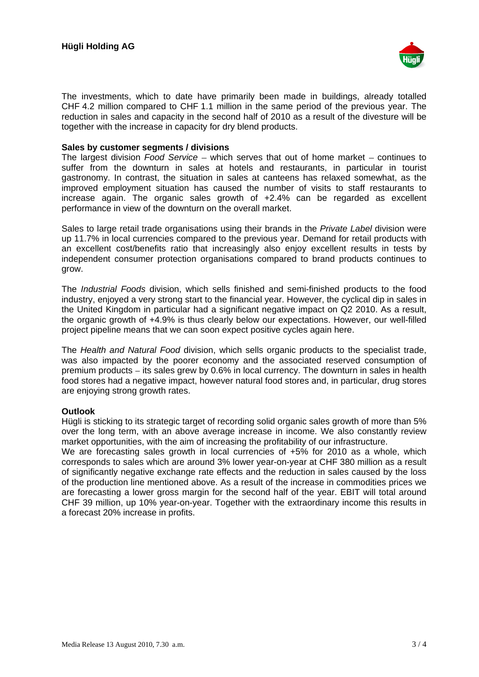

The investments, which to date have primarily been made in buildings, already totalled CHF 4.2 million compared to CHF 1.1 million in the same period of the previous year. The reduction in sales and capacity in the second half of 2010 as a result of the divesture will be together with the increase in capacity for dry blend products.

## **Sales by customer segments / divisions**

The largest division Food Service – which serves that out of home market – continues to suffer from the downturn in sales at hotels and restaurants, in particular in tourist gastronomy. In contrast, the situation in sales at canteens has relaxed somewhat, as the improved employment situation has caused the number of visits to staff restaurants to increase again. The organic sales growth of +2.4% can be regarded as excellent performance in view of the downturn on the overall market.

Sales to large retail trade organisations using their brands in the *Private Label* division were up 11.7% in local currencies compared to the previous year. Demand for retail products with an excellent cost/benefits ratio that increasingly also enjoy excellent results in tests by independent consumer protection organisations compared to brand products continues to grow.

The Industrial Foods division, which sells finished and semi-finished products to the food industry, enjoyed a very strong start to the financial year. However, the cyclical dip in sales in the United Kingdom in particular had a significant negative impact on Q2 2010. As a result, the organic growth of +4.9% is thus clearly below our expectations. However, our well-filled project pipeline means that we can soon expect positive cycles again here.

The Health and Natural Food division, which sells organic products to the specialist trade, was also impacted by the poorer economy and the associated reserved consumption of premium products  $-$  its sales grew by 0.6% in local currency. The downturn in sales in health food stores had a negative impact, however natural food stores and, in particular, drug stores are enjoying strong growth rates.

#### **Outlook**

Hügli is sticking to its strategic target of recording solid organic sales growth of more than 5% over the long term, with an above average increase in income. We also constantly review market opportunities, with the aim of increasing the profitability of our infrastructure.

We are forecasting sales growth in local currencies of +5% for 2010 as a whole, which corresponds to sales which are around 3% lower year-on-year at CHF 380 million as a result of significantly negative exchange rate effects and the reduction in sales caused by the loss of the production line mentioned above. As a result of the increase in commodities prices we are forecasting a lower gross margin for the second half of the year. EBIT will total around CHF 39 million, up 10% year-on-year. Together with the extraordinary income this results in a forecast 20% increase in profits.